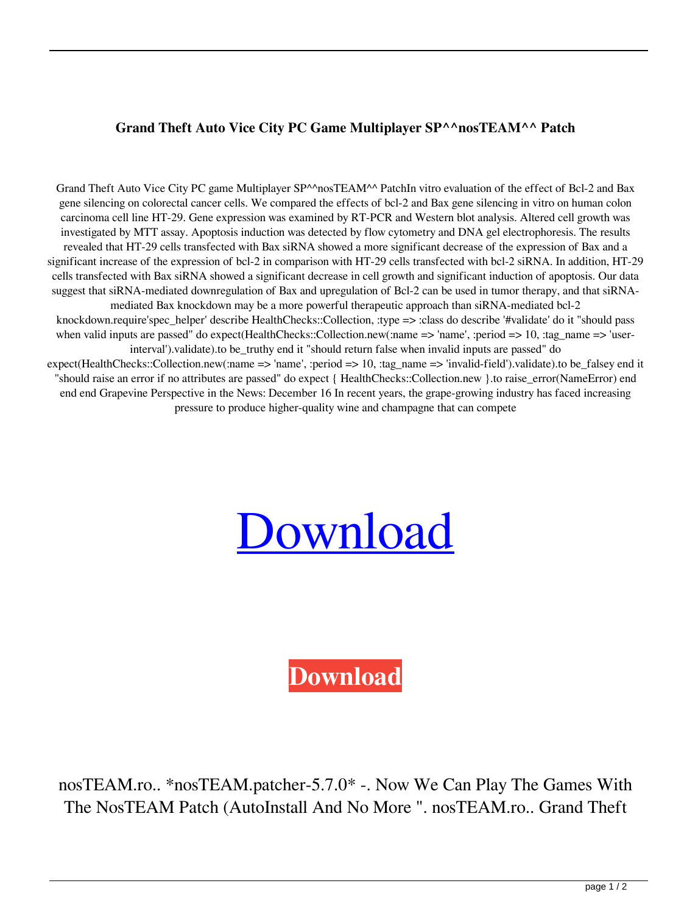## **Grand Theft Auto Vice City PC Game Multiplayer SP^^nosTEAM^^ Patch**

Grand Theft Auto Vice City PC game Multiplayer SP^^nosTEAM^^ PatchIn vitro evaluation of the effect of Bcl-2 and Bax gene silencing on colorectal cancer cells. We compared the effects of bcl-2 and Bax gene silencing in vitro on human colon carcinoma cell line HT-29. Gene expression was examined by RT-PCR and Western blot analysis. Altered cell growth was investigated by MTT assay. Apoptosis induction was detected by flow cytometry and DNA gel electrophoresis. The results revealed that HT-29 cells transfected with Bax siRNA showed a more significant decrease of the expression of Bax and a significant increase of the expression of bcl-2 in comparison with HT-29 cells transfected with bcl-2 siRNA. In addition, HT-29 cells transfected with Bax siRNA showed a significant decrease in cell growth and significant induction of apoptosis. Our data suggest that siRNA-mediated downregulation of Bax and upregulation of Bcl-2 can be used in tumor therapy, and that siRNAmediated Bax knockdown may be a more powerful therapeutic approach than siRNA-mediated bcl-2 knockdown.require'spec\_helper' describe HealthChecks::Collection, :type => :class do describe '#validate' do it "should pass when valid inputs are passed" do expect(HealthChecks::Collection.new(:name => 'name', :period => 10, :tag\_name => 'userinterval').validate).to be truthy end it "should return false when invalid inputs are passed" do expect(HealthChecks::Collection.new(:name => 'name', :period => 10, :tag\_name => 'invalid-field').validate).to be\_falsey end it "should raise an error if no attributes are passed" do expect { HealthChecks::Collection.new }.to raise\_error(NameError) end end end Grapevine Perspective in the News: December 16 In recent years, the grape-growing industry has faced increasing pressure to produce higher-quality wine and champagne that can compete

## [Download](http://evacdir.com/R3JhbmQgVGhlZnQgQXV0byBWaWNlIENpdHkgUEMgZ2FtZSBNdWx0aXBsYXllciBTUF5ebm9zVEVBTV5eIFBhdGNoR3J/foremothers/immunologists/lingo=ZG93bmxvYWR8MUFXTWpOcE9YeDhNVFkxTWpjME1EZzJObng4TWpVM05IeDhLRTBwSUhKbFlXUXRZbXh2WnlCYlJtRnpkQ0JIUlU1ZA?otcs=scrapings&mitten=shamo)

**[Download](http://evacdir.com/R3JhbmQgVGhlZnQgQXV0byBWaWNlIENpdHkgUEMgZ2FtZSBNdWx0aXBsYXllciBTUF5ebm9zVEVBTV5eIFBhdGNoR3J/foremothers/immunologists/lingo=ZG93bmxvYWR8MUFXTWpOcE9YeDhNVFkxTWpjME1EZzJObng4TWpVM05IeDhLRTBwSUhKbFlXUXRZbXh2WnlCYlJtRnpkQ0JIUlU1ZA?otcs=scrapings&mitten=shamo)**

nosTEAM.ro.. \*nosTEAM.patcher-5.7.0\* -. Now We Can Play The Games With The NosTEAM Patch (AutoInstall And No More ". nosTEAM.ro.. Grand Theft